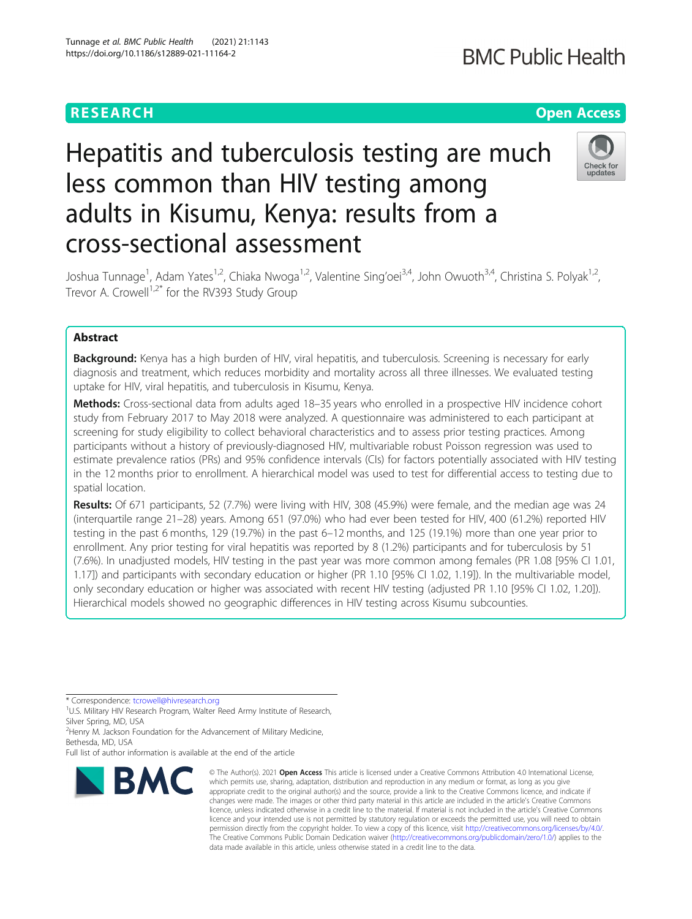# **RESEARCH CHEAR CHEAR CHEAR CHEAR CHEAR CHEAR CHEAR CHEAR CHEAR CHEAR CHEAR CHEAR CHEAR CHEAR CHEAR CHEAR CHEAR**

# Hepatitis and tuberculosis testing are much less common than HIV testing among adults in Kisumu, Kenya: results from a cross-sectional assessment



Joshua Tunnage<sup>1</sup>, Adam Yates<sup>1,2</sup>, Chiaka Nwoga<sup>1,2</sup>, Valentine Sing'oei<sup>3,4</sup>, John Owuoth<sup>3,4</sup>, Christina S. Polyak<sup>1,2</sup>, Trevor A. Crowell<sup>1,2\*</sup> for the RV393 Study Group

# Abstract

**Background:** Kenya has a high burden of HIV, viral hepatitis, and tuberculosis. Screening is necessary for early diagnosis and treatment, which reduces morbidity and mortality across all three illnesses. We evaluated testing uptake for HIV, viral hepatitis, and tuberculosis in Kisumu, Kenya.

Methods: Cross-sectional data from adults aged 18–35 years who enrolled in a prospective HIV incidence cohort study from February 2017 to May 2018 were analyzed. A questionnaire was administered to each participant at screening for study eligibility to collect behavioral characteristics and to assess prior testing practices. Among participants without a history of previously-diagnosed HIV, multivariable robust Poisson regression was used to estimate prevalence ratios (PRs) and 95% confidence intervals (CIs) for factors potentially associated with HIV testing in the 12 months prior to enrollment. A hierarchical model was used to test for differential access to testing due to spatial location.

Results: Of 671 participants, 52 (7.7%) were living with HIV, 308 (45.9%) were female, and the median age was 24 (interquartile range 21–28) years. Among 651 (97.0%) who had ever been tested for HIV, 400 (61.2%) reported HIV testing in the past 6 months, 129 (19.7%) in the past 6–12 months, and 125 (19.1%) more than one year prior to enrollment. Any prior testing for viral hepatitis was reported by 8 (1.2%) participants and for tuberculosis by 51 (7.6%). In unadjusted models, HIV testing in the past year was more common among females (PR 1.08 [95% CI 1.01, 1.17]) and participants with secondary education or higher (PR 1.10 [95% CI 1.02, 1.19]). In the multivariable model, only secondary education or higher was associated with recent HIV testing (adjusted PR 1.10 [95% CI 1.02, 1.20]). Hierarchical models showed no geographic differences in HIV testing across Kisumu subcounties.

\* Correspondence: [tcrowell@hivresearch.org](mailto:tcrowell@hivresearch.org) <sup>1</sup>

<sup>1</sup>U.S. Military HIV Research Program, Walter Reed Army Institute of Research, Silver Spring, MD, USA

<sup>2</sup> Henry M. Jackson Foundation for the Advancement of Military Medicine, Bethesda, MD, USA

Full list of author information is available at the end of the article



<sup>©</sup> The Author(s), 2021 **Open Access** This article is licensed under a Creative Commons Attribution 4.0 International License, which permits use, sharing, adaptation, distribution and reproduction in any medium or format, as long as you give appropriate credit to the original author(s) and the source, provide a link to the Creative Commons licence, and indicate if changes were made. The images or other third party material in this article are included in the article's Creative Commons licence, unless indicated otherwise in a credit line to the material. If material is not included in the article's Creative Commons licence and your intended use is not permitted by statutory regulation or exceeds the permitted use, you will need to obtain permission directly from the copyright holder. To view a copy of this licence, visit [http://creativecommons.org/licenses/by/4.0/.](http://creativecommons.org/licenses/by/4.0/) The Creative Commons Public Domain Dedication waiver [\(http://creativecommons.org/publicdomain/zero/1.0/](http://creativecommons.org/publicdomain/zero/1.0/)) applies to the data made available in this article, unless otherwise stated in a credit line to the data.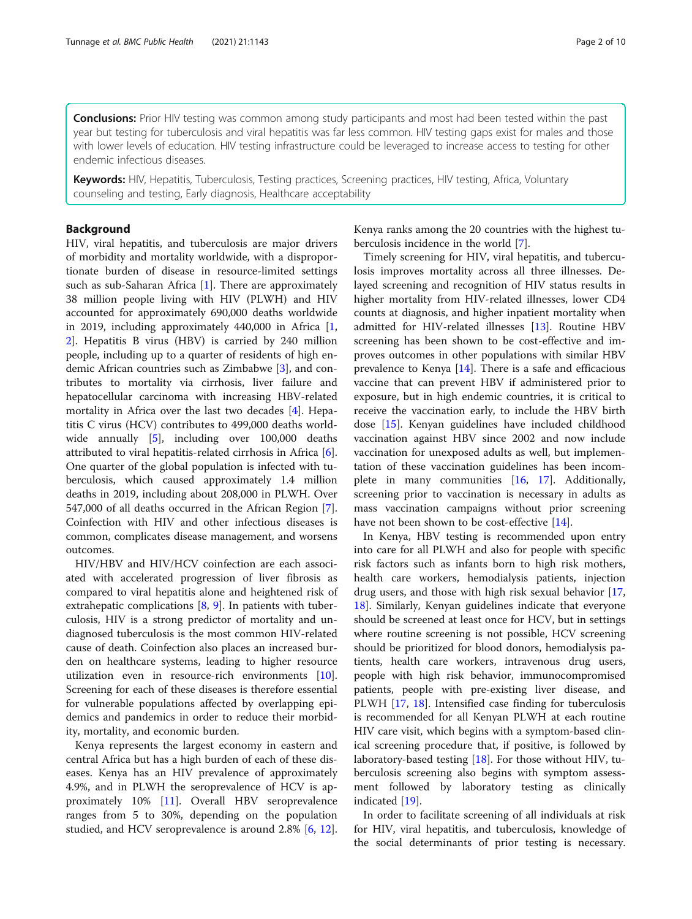**Conclusions:** Prior HIV testing was common among study participants and most had been tested within the past year but testing for tuberculosis and viral hepatitis was far less common. HIV testing gaps exist for males and those with lower levels of education. HIV testing infrastructure could be leveraged to increase access to testing for other endemic infectious diseases.

Keywords: HIV, Hepatitis, Tuberculosis, Testing practices, Screening practices, HIV testing, Africa, Voluntary counseling and testing, Early diagnosis, Healthcare acceptability

# Background

HIV, viral hepatitis, and tuberculosis are major drivers of morbidity and mortality worldwide, with a disproportionate burden of disease in resource-limited settings such as sub-Saharan Africa [\[1](#page-9-0)]. There are approximately 38 million people living with HIV (PLWH) and HIV accounted for approximately 690,000 deaths worldwide in 2019, including approximately 440,000 in Africa [\[1](#page-9-0), [2\]](#page-9-0). Hepatitis B virus (HBV) is carried by 240 million people, including up to a quarter of residents of high endemic African countries such as Zimbabwe [[3\]](#page-9-0), and contributes to mortality via cirrhosis, liver failure and hepatocellular carcinoma with increasing HBV-related mortality in Africa over the last two decades [\[4](#page-9-0)]. Hepatitis C virus (HCV) contributes to 499,000 deaths worldwide annually [\[5](#page-9-0)], including over 100,000 deaths attributed to viral hepatitis-related cirrhosis in Africa [\[6](#page-9-0)]. One quarter of the global population is infected with tuberculosis, which caused approximately 1.4 million deaths in 2019, including about 208,000 in PLWH. Over 547,000 of all deaths occurred in the African Region [\[7](#page-9-0)]. Coinfection with HIV and other infectious diseases is common, complicates disease management, and worsens outcomes.

HIV/HBV and HIV/HCV coinfection are each associated with accelerated progression of liver fibrosis as compared to viral hepatitis alone and heightened risk of extrahepatic complications [\[8](#page-9-0), [9](#page-9-0)]. In patients with tuberculosis, HIV is a strong predictor of mortality and undiagnosed tuberculosis is the most common HIV-related cause of death. Coinfection also places an increased burden on healthcare systems, leading to higher resource utilization even in resource-rich environments [\[10](#page-9-0)]. Screening for each of these diseases is therefore essential for vulnerable populations affected by overlapping epidemics and pandemics in order to reduce their morbidity, mortality, and economic burden.

Kenya represents the largest economy in eastern and central Africa but has a high burden of each of these diseases. Kenya has an HIV prevalence of approximately 4.9%, and in PLWH the seroprevalence of HCV is approximately 10% [\[11\]](#page-9-0). Overall HBV seroprevalence ranges from 5 to 30%, depending on the population studied, and HCV seroprevalence is around 2.8% [\[6](#page-9-0), [12](#page-9-0)]. Kenya ranks among the 20 countries with the highest tuberculosis incidence in the world [\[7](#page-9-0)].

Timely screening for HIV, viral hepatitis, and tuberculosis improves mortality across all three illnesses. Delayed screening and recognition of HIV status results in higher mortality from HIV-related illnesses, lower CD4 counts at diagnosis, and higher inpatient mortality when admitted for HIV-related illnesses [\[13](#page-9-0)]. Routine HBV screening has been shown to be cost-effective and improves outcomes in other populations with similar HBV prevalence to Kenya [[14\]](#page-9-0). There is a safe and efficacious vaccine that can prevent HBV if administered prior to exposure, but in high endemic countries, it is critical to receive the vaccination early, to include the HBV birth dose [[15](#page-9-0)]. Kenyan guidelines have included childhood vaccination against HBV since 2002 and now include vaccination for unexposed adults as well, but implementation of these vaccination guidelines has been incomplete in many communities [\[16,](#page-9-0) [17\]](#page-9-0). Additionally, screening prior to vaccination is necessary in adults as mass vaccination campaigns without prior screening have not been shown to be cost-effective [[14\]](#page-9-0).

In Kenya, HBV testing is recommended upon entry into care for all PLWH and also for people with specific risk factors such as infants born to high risk mothers, health care workers, hemodialysis patients, injection drug users, and those with high risk sexual behavior [[17](#page-9-0), [18\]](#page-9-0). Similarly, Kenyan guidelines indicate that everyone should be screened at least once for HCV, but in settings where routine screening is not possible, HCV screening should be prioritized for blood donors, hemodialysis patients, health care workers, intravenous drug users, people with high risk behavior, immunocompromised patients, people with pre-existing liver disease, and PLWH [\[17,](#page-9-0) [18](#page-9-0)]. Intensified case finding for tuberculosis is recommended for all Kenyan PLWH at each routine HIV care visit, which begins with a symptom-based clinical screening procedure that, if positive, is followed by laboratory-based testing [\[18](#page-9-0)]. For those without HIV, tuberculosis screening also begins with symptom assessment followed by laboratory testing as clinically indicated [\[19\]](#page-9-0).

In order to facilitate screening of all individuals at risk for HIV, viral hepatitis, and tuberculosis, knowledge of the social determinants of prior testing is necessary.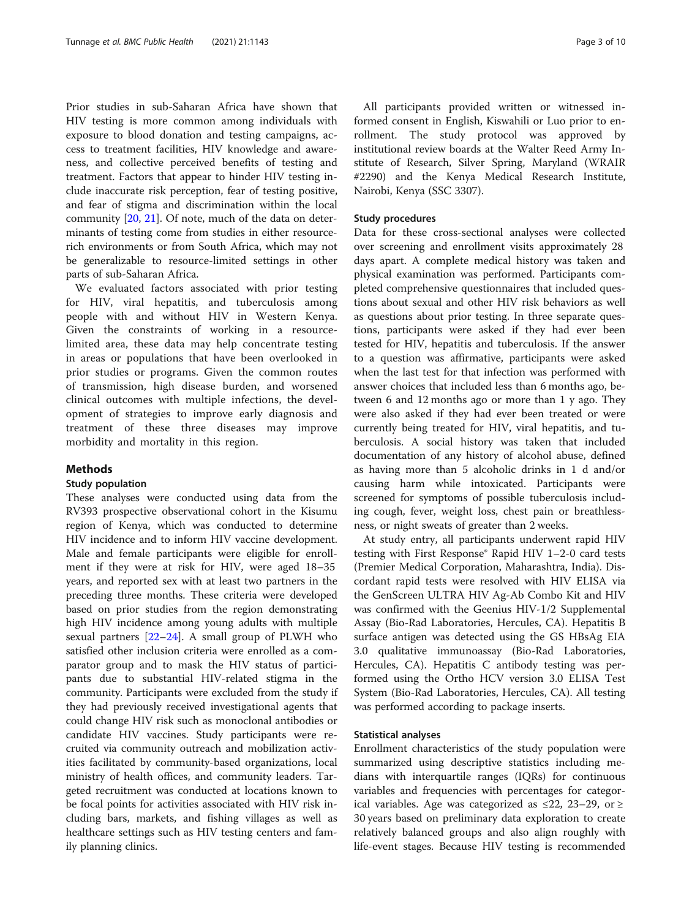Prior studies in sub-Saharan Africa have shown that HIV testing is more common among individuals with exposure to blood donation and testing campaigns, access to treatment facilities, HIV knowledge and awareness, and collective perceived benefits of testing and treatment. Factors that appear to hinder HIV testing include inaccurate risk perception, fear of testing positive, and fear of stigma and discrimination within the local community [[20](#page-9-0), [21](#page-9-0)]. Of note, much of the data on determinants of testing come from studies in either resourcerich environments or from South Africa, which may not be generalizable to resource-limited settings in other parts of sub-Saharan Africa.

We evaluated factors associated with prior testing for HIV, viral hepatitis, and tuberculosis among people with and without HIV in Western Kenya. Given the constraints of working in a resourcelimited area, these data may help concentrate testing in areas or populations that have been overlooked in prior studies or programs. Given the common routes of transmission, high disease burden, and worsened clinical outcomes with multiple infections, the development of strategies to improve early diagnosis and treatment of these three diseases may improve morbidity and mortality in this region.

# Methods

# Study population

These analyses were conducted using data from the RV393 prospective observational cohort in the Kisumu region of Kenya, which was conducted to determine HIV incidence and to inform HIV vaccine development. Male and female participants were eligible for enrollment if they were at risk for HIV, were aged 18–35 years, and reported sex with at least two partners in the preceding three months. These criteria were developed based on prior studies from the region demonstrating high HIV incidence among young adults with multiple sexual partners  $[22-24]$  $[22-24]$  $[22-24]$  $[22-24]$  $[22-24]$ . A small group of PLWH who satisfied other inclusion criteria were enrolled as a comparator group and to mask the HIV status of participants due to substantial HIV-related stigma in the community. Participants were excluded from the study if they had previously received investigational agents that could change HIV risk such as monoclonal antibodies or candidate HIV vaccines. Study participants were recruited via community outreach and mobilization activities facilitated by community-based organizations, local ministry of health offices, and community leaders. Targeted recruitment was conducted at locations known to be focal points for activities associated with HIV risk including bars, markets, and fishing villages as well as healthcare settings such as HIV testing centers and family planning clinics.

All participants provided written or witnessed informed consent in English, Kiswahili or Luo prior to enrollment. The study protocol was approved by institutional review boards at the Walter Reed Army Institute of Research, Silver Spring, Maryland (WRAIR #2290) and the Kenya Medical Research Institute, Nairobi, Kenya (SSC 3307).

#### Study procedures

Data for these cross-sectional analyses were collected over screening and enrollment visits approximately 28 days apart. A complete medical history was taken and physical examination was performed. Participants completed comprehensive questionnaires that included questions about sexual and other HIV risk behaviors as well as questions about prior testing. In three separate questions, participants were asked if they had ever been tested for HIV, hepatitis and tuberculosis. If the answer to a question was affirmative, participants were asked when the last test for that infection was performed with answer choices that included less than 6 months ago, between 6 and 12 months ago or more than 1 y ago. They were also asked if they had ever been treated or were currently being treated for HIV, viral hepatitis, and tuberculosis. A social history was taken that included documentation of any history of alcohol abuse, defined as having more than 5 alcoholic drinks in 1 d and/or causing harm while intoxicated. Participants were screened for symptoms of possible tuberculosis including cough, fever, weight loss, chest pain or breathlessness, or night sweats of greater than 2 weeks.

At study entry, all participants underwent rapid HIV testing with First Response® Rapid HIV 1–2-0 card tests (Premier Medical Corporation, Maharashtra, India). Discordant rapid tests were resolved with HIV ELISA via the GenScreen ULTRA HIV Ag-Ab Combo Kit and HIV was confirmed with the Geenius HIV-1/2 Supplemental Assay (Bio-Rad Laboratories, Hercules, CA). Hepatitis B surface antigen was detected using the GS HBsAg EIA 3.0 qualitative immunoassay (Bio-Rad Laboratories, Hercules, CA). Hepatitis C antibody testing was performed using the Ortho HCV version 3.0 ELISA Test System (Bio-Rad Laboratories, Hercules, CA). All testing was performed according to package inserts.

# Statistical analyses

Enrollment characteristics of the study population were summarized using descriptive statistics including medians with interquartile ranges (IQRs) for continuous variables and frequencies with percentages for categorical variables. Age was categorized as ≤22, 23–29, or ≥ 30 years based on preliminary data exploration to create relatively balanced groups and also align roughly with life-event stages. Because HIV testing is recommended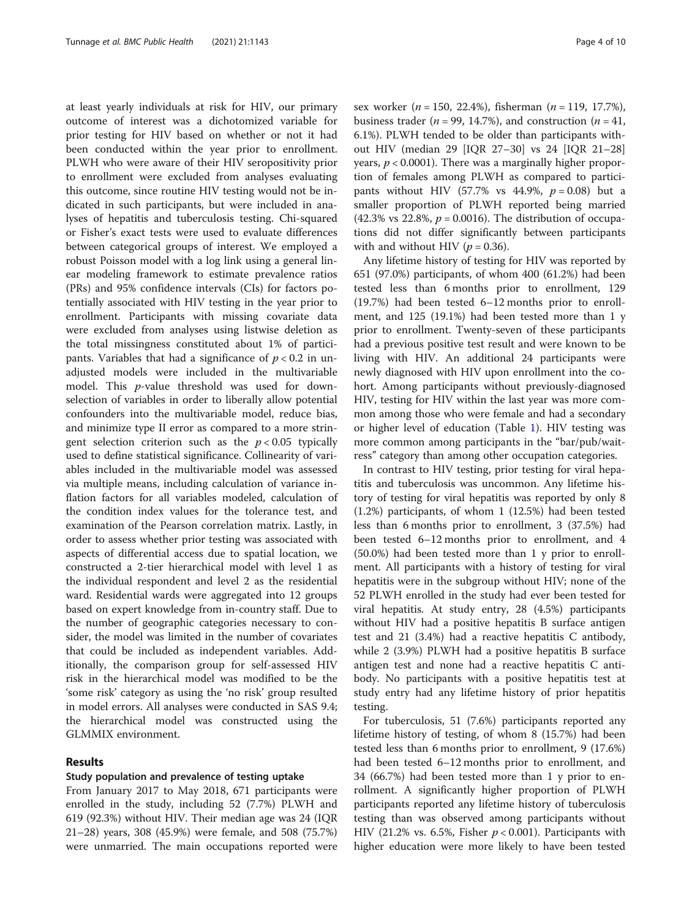at least yearly individuals at risk for HIV, our primary outcome of interest was a dichotomized variable for prior testing for HIV based on whether or not it had been conducted within the year prior to enrollment. PLWH who were aware of their HIV seropositivity prior to enrollment were excluded from analyses evaluating this outcome, since routine HIV testing would not be indicated in such participants, but were included in analyses of hepatitis and tuberculosis testing. Chi-squared or Fisher's exact tests were used to evaluate differences between categorical groups of interest. We employed a robust Poisson model with a log link using a general linear modeling framework to estimate prevalence ratios (PRs) and 95% confidence intervals (CIs) for factors potentially associated with HIV testing in the year prior to enrollment. Participants with missing covariate data were excluded from analyses using listwise deletion as the total missingness constituted about 1% of participants. Variables that had a significance of  $p < 0.2$  in unadjusted models were included in the multivariable model. This p-value threshold was used for downselection of variables in order to liberally allow potential confounders into the multivariable model, reduce bias, and minimize type II error as compared to a more stringent selection criterion such as the  $p < 0.05$  typically used to define statistical significance. Collinearity of variables included in the multivariable model was assessed via multiple means, including calculation of variance inflation factors for all variables modeled, calculation of the condition index values for the tolerance test, and examination of the Pearson correlation matrix. Lastly, in order to assess whether prior testing was associated with aspects of differential access due to spatial location, we constructed a 2-tier hierarchical model with level 1 as the individual respondent and level 2 as the residential ward. Residential wards were aggregated into 12 groups based on expert knowledge from in-country staff. Due to the number of geographic categories necessary to consider, the model was limited in the number of covariates that could be included as independent variables. Additionally, the comparison group for self-assessed HIV risk in the hierarchical model was modified to be the 'some risk' category as using the 'no risk' group resulted in model errors. All analyses were conducted in SAS 9.4; the hierarchical model was constructed using the GLMMIX environment.

### Results

# Study population and prevalence of testing uptake

From January 2017 to May 2018, 671 participants were enrolled in the study, including 52 (7.7%) PLWH and 619 (92.3%) without HIV. Their median age was 24 (IQR 21–28) years, 308 (45.9%) were female, and 508 (75.7%) were unmarried. The main occupations reported were sex worker ( $n = 150, 22.4\%)$ , fisherman ( $n = 119, 17.7\%)$ ), business trader ( $n = 99, 14.7\%$ ), and construction ( $n = 41$ , 6.1%). PLWH tended to be older than participants without HIV (median 29 [IQR 27–30] vs 24 [IQR 21–28] years,  $p < 0.0001$ ). There was a marginally higher proportion of females among PLWH as compared to participants without HIV (57.7% vs 44.9%,  $p = 0.08$ ) but a smaller proportion of PLWH reported being married (42.3% vs 22.8%,  $p = 0.0016$ ). The distribution of occupations did not differ significantly between participants with and without HIV ( $p = 0.36$ ).

Any lifetime history of testing for HIV was reported by 651 (97.0%) participants, of whom 400 (61.2%) had been tested less than 6 months prior to enrollment, 129 (19.7%) had been tested 6–12 months prior to enrollment, and 125 (19.1%) had been tested more than 1 y prior to enrollment. Twenty-seven of these participants had a previous positive test result and were known to be living with HIV. An additional 24 participants were newly diagnosed with HIV upon enrollment into the cohort. Among participants without previously-diagnosed HIV, testing for HIV within the last year was more common among those who were female and had a secondary or higher level of education (Table [1](#page-4-0)). HIV testing was more common among participants in the "bar/pub/waitress" category than among other occupation categories.

In contrast to HIV testing, prior testing for viral hepatitis and tuberculosis was uncommon. Any lifetime history of testing for viral hepatitis was reported by only 8 (1.2%) participants, of whom 1 (12.5%) had been tested less than 6 months prior to enrollment, 3 (37.5%) had been tested 6–12 months prior to enrollment, and 4 (50.0%) had been tested more than 1 y prior to enrollment. All participants with a history of testing for viral hepatitis were in the subgroup without HIV; none of the 52 PLWH enrolled in the study had ever been tested for viral hepatitis. At study entry, 28 (4.5%) participants without HIV had a positive hepatitis B surface antigen test and 21 (3.4%) had a reactive hepatitis C antibody, while 2 (3.9%) PLWH had a positive hepatitis B surface antigen test and none had a reactive hepatitis C antibody. No participants with a positive hepatitis test at study entry had any lifetime history of prior hepatitis testing.

For tuberculosis, 51 (7.6%) participants reported any lifetime history of testing, of whom 8 (15.7%) had been tested less than 6 months prior to enrollment, 9 (17.6%) had been tested 6–12 months prior to enrollment, and 34 (66.7%) had been tested more than 1 y prior to enrollment. A significantly higher proportion of PLWH participants reported any lifetime history of tuberculosis testing than was observed among participants without HIV (21.2% vs. 6.5%, Fisher  $p < 0.001$ ). Participants with higher education were more likely to have been tested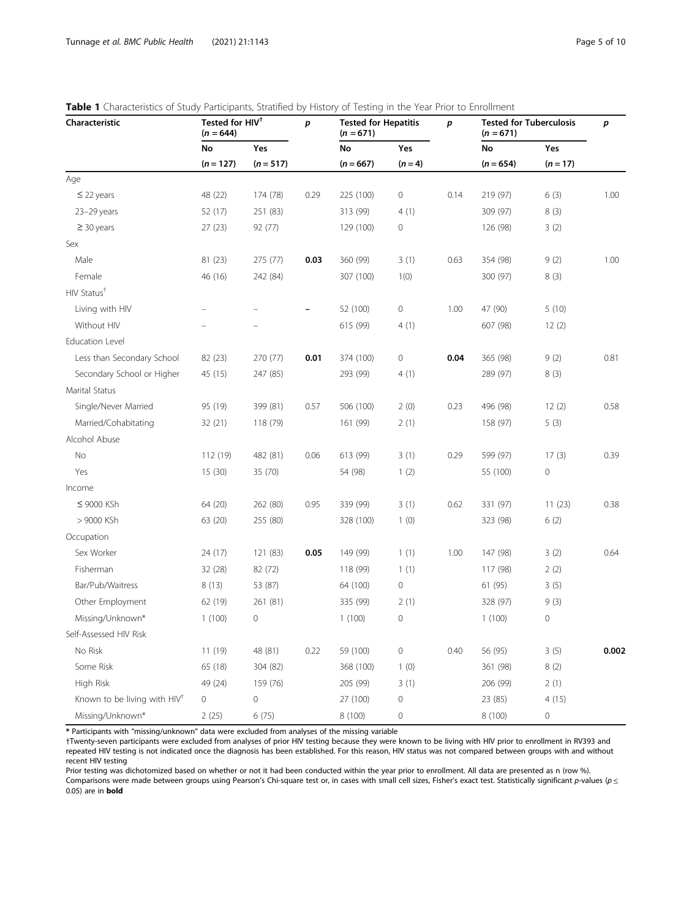| Characteristic                           | Tested for HIV <sup>+</sup><br>$(n = 644)$ |                    | p    | <b>Tested for Hepatitis</b><br>$(n = 671)$ |                     | p    | <b>Tested for Tuberculosis</b><br>$(n = 671)$ |                     | p     |
|------------------------------------------|--------------------------------------------|--------------------|------|--------------------------------------------|---------------------|------|-----------------------------------------------|---------------------|-------|
|                                          | No<br>$(n = 127)$                          | Yes<br>$(n = 517)$ |      | No<br>$(n = 667)$                          | Yes<br>$(n = 4)$    |      | No<br>$(n = 654)$                             | Yes<br>$(n = 17)$   |       |
|                                          |                                            |                    |      |                                            |                     |      |                                               |                     |       |
| $\leq$ 22 years                          | 48 (22)                                    | 174 (78)           | 0.29 | 225 (100)                                  | 0                   | 0.14 | 219 (97)                                      | 6(3)                | 1.00  |
| 23-29 years                              | 52 (17)                                    | 251 (83)           |      | 313 (99)                                   | 4(1)                |      | 309 (97)                                      | 8(3)                |       |
| $\geq$ 30 years                          | 27(23)                                     | 92 (77)            |      | 129 (100)                                  | $\mathbf 0$         |      | 126 (98)                                      | 3(2)                |       |
| Sex                                      |                                            |                    |      |                                            |                     |      |                                               |                     |       |
| Male                                     | 81 (23)                                    | 275 (77)           | 0.03 | 360 (99)                                   | 3(1)                | 0.63 | 354 (98)                                      | 9(2)                | 1.00  |
| Female                                   | 46 (16)                                    | 242 (84)           |      | 307 (100)                                  | 1(0)                |      | 300 (97)                                      | 8(3)                |       |
| HIV Status <sup>+</sup>                  |                                            |                    |      |                                            |                     |      |                                               |                     |       |
| Living with HIV                          |                                            |                    |      | 52 (100)                                   | 0                   | 1.00 | 47 (90)                                       | 5(10)               |       |
| Without HIV                              |                                            |                    |      | 615 (99)                                   | 4(1)                |      | 607 (98)                                      | 12(2)               |       |
| <b>Education Level</b>                   |                                            |                    |      |                                            |                     |      |                                               |                     |       |
| Less than Secondary School               | 82 (23)                                    | 270 (77)           | 0.01 | 374 (100)                                  | 0                   | 0.04 | 365 (98)                                      | 9(2)                | 0.81  |
| Secondary School or Higher               | 45 (15)                                    | 247 (85)           |      | 293 (99)                                   | 4(1)                |      | 289 (97)                                      | 8(3)                |       |
| Marital Status                           |                                            |                    |      |                                            |                     |      |                                               |                     |       |
| Single/Never Married                     | 95 (19)                                    | 399 (81)           | 0.57 | 506 (100)                                  | 2(0)                | 0.23 | 496 (98)                                      | 12(2)               | 0.58  |
| Married/Cohabitating                     | 32 (21)                                    | 118 (79)           |      | 161 (99)                                   | 2(1)                |      | 158 (97)                                      | 5(3)                |       |
| Alcohol Abuse                            |                                            |                    |      |                                            |                     |      |                                               |                     |       |
| No                                       | 112 (19)                                   | 482 (81)           | 0.06 | 613 (99)                                   | 3(1)                | 0.29 | 599 (97)                                      | 17(3)               | 0.39  |
| Yes                                      | 15(30)                                     | 35 (70)            |      | 54 (98)                                    | 1(2)                |      | 55 (100)                                      | $\mathsf{O}\xspace$ |       |
| Income                                   |                                            |                    |      |                                            |                     |      |                                               |                     |       |
| ≤ 9000 KSh                               | 64 (20)                                    | 262 (80)           | 0.95 | 339 (99)                                   | 3(1)                | 0.62 | 331 (97)                                      | 11(23)              | 0.38  |
| > 9000 KSh                               | 63 (20)                                    | 255 (80)           |      | 328 (100)                                  | 1(0)                |      | 323 (98)                                      | 6(2)                |       |
| Occupation                               |                                            |                    |      |                                            |                     |      |                                               |                     |       |
| Sex Worker                               | 24 (17)                                    | 121 (83)           | 0.05 | 149 (99)                                   | 1(1)                | 1.00 | 147 (98)                                      | 3(2)                | 0.64  |
| Fisherman                                | 32 (28)                                    | 82 (72)            |      | 118 (99)                                   | 1(1)                |      | 117 (98)                                      | 2(2)                |       |
| Bar/Pub/Waitress                         | 8(13)                                      | 53 (87)            |      | 64 (100)                                   | 0                   |      | 61 (95)                                       | 3(5)                |       |
| Other Employment                         | 62 (19)                                    | 261 (81)           |      | 335 (99)                                   | 2(1)                |      | 328 (97)                                      | 9(3)                |       |
| Missing/Unknown*                         | 1(100)                                     | $\mathbf 0$        |      | 1(100)                                     | $\mathbf 0$         |      | 1(100)                                        | $\mathbf 0$         |       |
| Self-Assessed HIV Risk                   |                                            |                    |      |                                            |                     |      |                                               |                     |       |
| No Risk                                  | 11 (19)                                    | 48 (81)            | 0.22 | 59 (100)                                   | 0                   | 0.40 | 56 (95)                                       | 3(5)                | 0.002 |
| Some Risk                                | 65 (18)                                    | 304 (82)           |      | 368 (100)                                  | 1(0)                |      | 361 (98)                                      | 8(2)                |       |
| High Risk                                | 49 (24)                                    | 159 (76)           |      | 205 (99)                                   | 3(1)                |      | 206 (99)                                      | 2(1)                |       |
| Known to be living with HIV <sup>+</sup> | $\mathbf 0$                                | $\mathbb O$        |      | 27 (100)                                   | $\mathsf{O}\xspace$ |      | 23 (85)                                       | 4(15)               |       |
| Missing/Unknown*                         | 2(25)                                      | 6(75)              |      | 8 (100)                                    | 0                   |      | 8 (100)                                       | $\mathsf{O}\xspace$ |       |

<span id="page-4-0"></span>

\* Participants with "missing/unknown" data were excluded from analyses of the missing variable

†Twenty-seven participants were excluded from analyses of prior HIV testing because they were known to be living with HIV prior to enrollment in RV393 and repeated HIV testing is not indicated once the diagnosis has been established. For this reason, HIV status was not compared between groups with and without recent HIV testing

Prior testing was dichotomized based on whether or not it had been conducted within the year prior to enrollment. All data are presented as n (row %). Comparisons were made between groups using Pearson's Chi-square test or, in cases with small cell sizes, Fisher's exact test. Statistically significant p-values ( $p \leq$ 0.05) are in bold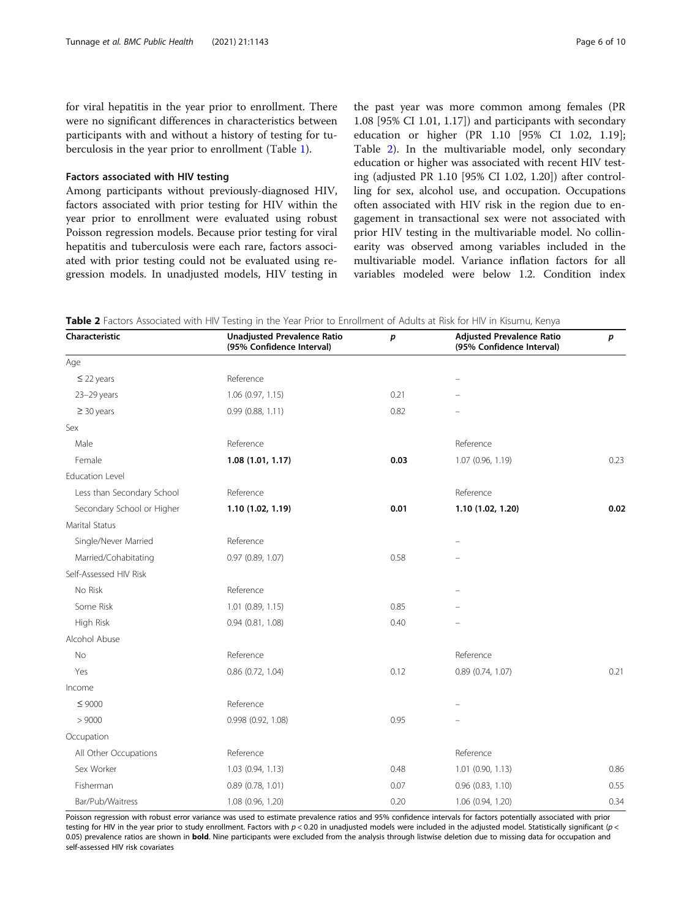for viral hepatitis in the year prior to enrollment. There were no significant differences in characteristics between participants with and without a history of testing for tuberculosis in the year prior to enrollment (Table [1](#page-4-0)).

# Factors associated with HIV testing

Among participants without previously-diagnosed HIV, factors associated with prior testing for HIV within the year prior to enrollment were evaluated using robust Poisson regression models. Because prior testing for viral hepatitis and tuberculosis were each rare, factors associated with prior testing could not be evaluated using regression models. In unadjusted models, HIV testing in

the past year was more common among females (PR 1.08 [95% CI 1.01, 1.17]) and participants with secondary education or higher (PR 1.10 [95% CI 1.02, 1.19]; Table 2). In the multivariable model, only secondary education or higher was associated with recent HIV testing (adjusted PR 1.10 [95% CI 1.02, 1.20]) after controlling for sex, alcohol use, and occupation. Occupations often associated with HIV risk in the region due to engagement in transactional sex were not associated with prior HIV testing in the multivariable model. No collinearity was observed among variables included in the multivariable model. Variance inflation factors for all variables modeled were below 1.2. Condition index

Table 2 Factors Associated with HIV Testing in the Year Prior to Enrollment of Adults at Risk for HIV in Kisumu, Kenya

| Characteristic             | Unadjusted Prevalence Ratio<br>(95% Confidence Interval) | p    | <b>Adjusted Prevalence Ratio</b><br>(95% Confidence Interval) | p    |
|----------------------------|----------------------------------------------------------|------|---------------------------------------------------------------|------|
| Age                        |                                                          |      |                                                               |      |
| $\leq$ 22 years            | Reference                                                |      |                                                               |      |
| 23-29 years                | $1.06$ (0.97, 1.15)                                      | 0.21 |                                                               |      |
| $\geq$ 30 years            | 0.99(0.88, 1.11)                                         | 0.82 |                                                               |      |
| Sex                        |                                                          |      |                                                               |      |
| Male                       | Reference                                                |      | Reference                                                     |      |
| Female                     | 1.08 (1.01, 1.17)                                        | 0.03 | 1.07 (0.96, 1.19)                                             | 0.23 |
| <b>Education Level</b>     |                                                          |      |                                                               |      |
| Less than Secondary School | Reference                                                |      | Reference                                                     |      |
| Secondary School or Higher | 1.10 (1.02, 1.19)                                        | 0.01 | 1.10 (1.02, 1.20)                                             | 0.02 |
| Marital Status             |                                                          |      |                                                               |      |
| Single/Never Married       | Reference                                                |      |                                                               |      |
| Married/Cohabitating       | 0.97 (0.89, 1.07)                                        | 0.58 |                                                               |      |
| Self-Assessed HIV Risk     |                                                          |      |                                                               |      |
| No Risk                    | Reference                                                |      |                                                               |      |
| Some Risk                  | 1.01 (0.89, 1.15)                                        | 0.85 |                                                               |      |
| High Risk                  | $0.94$ $(0.81, 1.08)$                                    | 0.40 |                                                               |      |
| Alcohol Abuse              |                                                          |      |                                                               |      |
| <b>No</b>                  | Reference                                                |      | Reference                                                     |      |
| Yes                        | 0.86 (0.72, 1.04)                                        | 0.12 | 0.89 (0.74, 1.07)                                             | 0.21 |
| Income                     |                                                          |      |                                                               |      |
| $\leq 9000$                | Reference                                                |      |                                                               |      |
| > 9000                     | 0.998 (0.92, 1.08)                                       | 0.95 |                                                               |      |
| Occupation                 |                                                          |      |                                                               |      |
| All Other Occupations      | Reference                                                |      | Reference                                                     |      |
| Sex Worker                 | 1.03 (0.94, 1.13)                                        | 0.48 | 1.01 (0.90, 1.13)                                             | 0.86 |
| Fisherman                  | 0.89(0.78, 1.01)                                         | 0.07 | 0.96 (0.83, 1.10)                                             | 0.55 |
| Bar/Pub/Waitress           | 1.08 (0.96, 1.20)                                        | 0.20 | 1.06 (0.94, 1.20)                                             | 0.34 |

Poisson regression with robust error variance was used to estimate prevalence ratios and 95% confidence intervals for factors potentially associated with prior testing for HIV in the year prior to study enrollment. Factors with  $p < 0.20$  in unadjusted models were included in the adjusted model. Statistically significant ( $p <$ 0.05) prevalence ratios are shown in **bold**. Nine participants were excluded from the analysis through listwise deletion due to missing data for occupation and self-assessed HIV risk covariates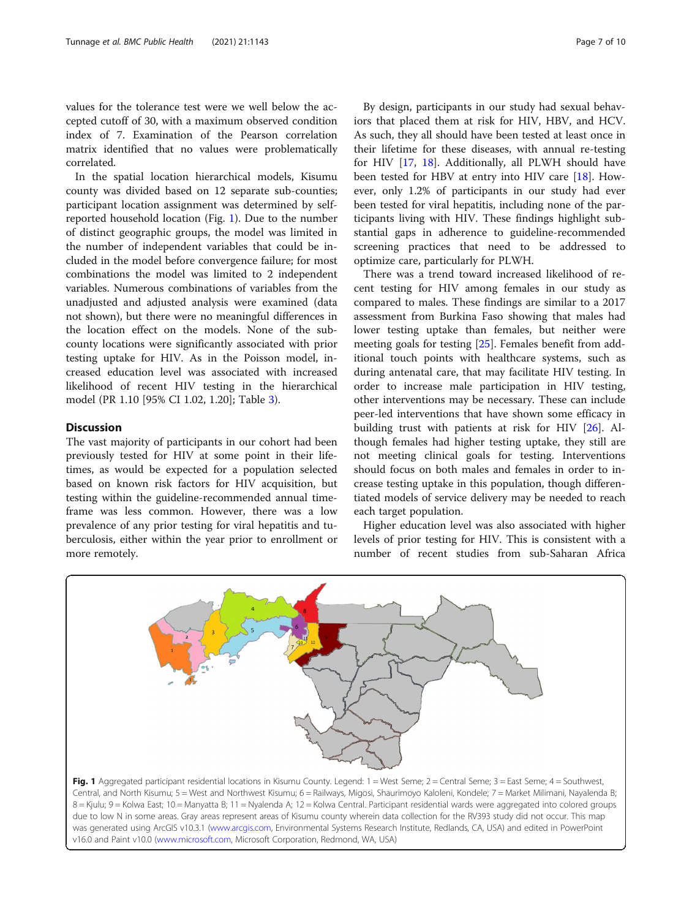<span id="page-6-0"></span>values for the tolerance test were we well below the accepted cutoff of 30, with a maximum observed condition index of 7. Examination of the Pearson correlation matrix identified that no values were problematically correlated.

In the spatial location hierarchical models, Kisumu county was divided based on 12 separate sub-counties; participant location assignment was determined by selfreported household location (Fig. 1). Due to the number of distinct geographic groups, the model was limited in the number of independent variables that could be included in the model before convergence failure; for most combinations the model was limited to 2 independent variables. Numerous combinations of variables from the unadjusted and adjusted analysis were examined (data not shown), but there were no meaningful differences in the location effect on the models. None of the subcounty locations were significantly associated with prior testing uptake for HIV. As in the Poisson model, increased education level was associated with increased likelihood of recent HIV testing in the hierarchical model (PR 1.10 [95% CI 1.02, 1.20]; Table [3](#page-7-0)).

# **Discussion**

The vast majority of participants in our cohort had been previously tested for HIV at some point in their lifetimes, as would be expected for a population selected based on known risk factors for HIV acquisition, but testing within the guideline-recommended annual timeframe was less common. However, there was a low prevalence of any prior testing for viral hepatitis and tuberculosis, either within the year prior to enrollment or more remotely.

By design, participants in our study had sexual behaviors that placed them at risk for HIV, HBV, and HCV. As such, they all should have been tested at least once in their lifetime for these diseases, with annual re-testing for HIV [[17](#page-9-0), [18](#page-9-0)]. Additionally, all PLWH should have been tested for HBV at entry into HIV care [[18](#page-9-0)]. However, only 1.2% of participants in our study had ever been tested for viral hepatitis, including none of the participants living with HIV. These findings highlight substantial gaps in adherence to guideline-recommended screening practices that need to be addressed to optimize care, particularly for PLWH.

There was a trend toward increased likelihood of recent testing for HIV among females in our study as compared to males. These findings are similar to a 2017 assessment from Burkina Faso showing that males had lower testing uptake than females, but neither were meeting goals for testing [\[25](#page-9-0)]. Females benefit from additional touch points with healthcare systems, such as during antenatal care, that may facilitate HIV testing. In order to increase male participation in HIV testing, other interventions may be necessary. These can include peer-led interventions that have shown some efficacy in building trust with patients at risk for HIV [\[26\]](#page-9-0). Although females had higher testing uptake, they still are not meeting clinical goals for testing. Interventions should focus on both males and females in order to increase testing uptake in this population, though differentiated models of service delivery may be needed to reach each target population.

Higher education level was also associated with higher levels of prior testing for HIV. This is consistent with a number of recent studies from sub-Saharan Africa



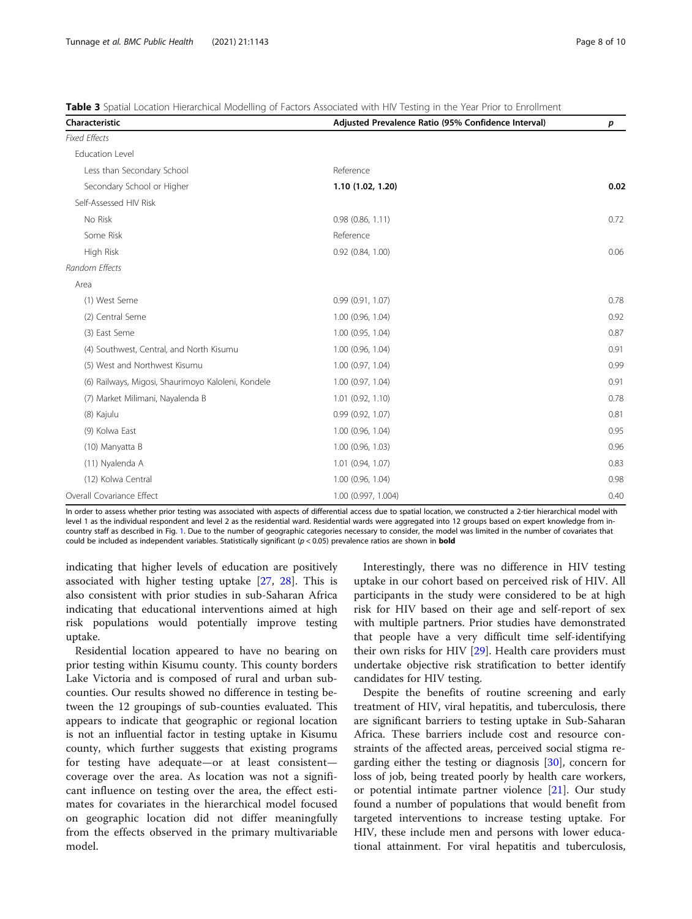<span id="page-7-0"></span>Table 3 Spatial Location Hierarchical Modelling of Factors Associated with HIV Testing in the Year Prior to Enrollment

| Characteristic                                     | Adjusted Prevalence Ratio (95% Confidence Interval) |      |  |
|----------------------------------------------------|-----------------------------------------------------|------|--|
| <b>Fixed Effects</b>                               |                                                     |      |  |
| Education Level                                    |                                                     |      |  |
| Less than Secondary School                         | Reference                                           |      |  |
| Secondary School or Higher                         | 1.10 (1.02, 1.20)                                   | 0.02 |  |
| Self-Assessed HIV Risk                             |                                                     |      |  |
| No Risk                                            | 0.98(0.86, 1.11)                                    | 0.72 |  |
| Some Risk                                          | Reference                                           |      |  |
| High Risk                                          | 0.92 (0.84, 1.00)                                   | 0.06 |  |
| Random Effects                                     |                                                     |      |  |
| Area                                               |                                                     |      |  |
| (1) West Seme                                      | 0.99(0.91, 1.07)                                    | 0.78 |  |
| (2) Central Seme                                   | 1.00 (0.96, 1.04)                                   | 0.92 |  |
| (3) East Seme                                      | 1.00 (0.95, 1.04)                                   | 0.87 |  |
| (4) Southwest, Central, and North Kisumu           | 1.00 (0.96, 1.04)                                   | 0.91 |  |
| (5) West and Northwest Kisumu                      | 1.00(0.97, 1.04)                                    | 0.99 |  |
| (6) Railways, Migosi, Shaurimoyo Kaloleni, Kondele | 1.00 (0.97, 1.04)                                   | 0.91 |  |
| (7) Market Milimani, Nayalenda B                   | $1.01$ $(0.92, 1.10)$                               | 0.78 |  |
| (8) Kajulu                                         | 0.99(0.92, 1.07)                                    | 0.81 |  |
| (9) Kolwa East                                     | 1.00 (0.96, 1.04)                                   | 0.95 |  |
| (10) Manyatta B                                    | 1.00 (0.96, 1.03)                                   | 0.96 |  |
| (11) Nyalenda A                                    | 1.01 (0.94, 1.07)                                   | 0.83 |  |
| (12) Kolwa Central                                 | 1.00 (0.96, 1.04)                                   | 0.98 |  |
| Overall Covariance Effect                          | 1.00 (0.997, 1.004)                                 | 0.40 |  |

In order to assess whether prior testing was associated with aspects of differential access due to spatial location, we constructed a 2-tier hierarchical model with level 1 as the individual respondent and level 2 as the residential ward. Residential wards were aggregated into 12 groups based on expert knowledge from incountry staff as described in Fig. [1](#page-6-0). Due to the number of geographic categories necessary to consider, the model was limited in the number of covariates that could be included as independent variables. Statistically significant ( $p < 0.05$ ) prevalence ratios are shown in **bold** 

indicating that higher levels of education are positively associated with higher testing uptake [\[27,](#page-9-0) [28\]](#page-9-0). This is also consistent with prior studies in sub-Saharan Africa indicating that educational interventions aimed at high risk populations would potentially improve testing uptake.

Residential location appeared to have no bearing on prior testing within Kisumu county. This county borders Lake Victoria and is composed of rural and urban subcounties. Our results showed no difference in testing between the 12 groupings of sub-counties evaluated. This appears to indicate that geographic or regional location is not an influential factor in testing uptake in Kisumu county, which further suggests that existing programs for testing have adequate—or at least consistent coverage over the area. As location was not a significant influence on testing over the area, the effect estimates for covariates in the hierarchical model focused on geographic location did not differ meaningfully from the effects observed in the primary multivariable model.

Interestingly, there was no difference in HIV testing uptake in our cohort based on perceived risk of HIV. All participants in the study were considered to be at high risk for HIV based on their age and self-report of sex with multiple partners. Prior studies have demonstrated that people have a very difficult time self-identifying their own risks for HIV [[29\]](#page-9-0). Health care providers must undertake objective risk stratification to better identify candidates for HIV testing.

Despite the benefits of routine screening and early treatment of HIV, viral hepatitis, and tuberculosis, there are significant barriers to testing uptake in Sub-Saharan Africa. These barriers include cost and resource constraints of the affected areas, perceived social stigma regarding either the testing or diagnosis  $[30]$  $[30]$ , concern for loss of job, being treated poorly by health care workers, or potential intimate partner violence [[21\]](#page-9-0). Our study found a number of populations that would benefit from targeted interventions to increase testing uptake. For HIV, these include men and persons with lower educational attainment. For viral hepatitis and tuberculosis,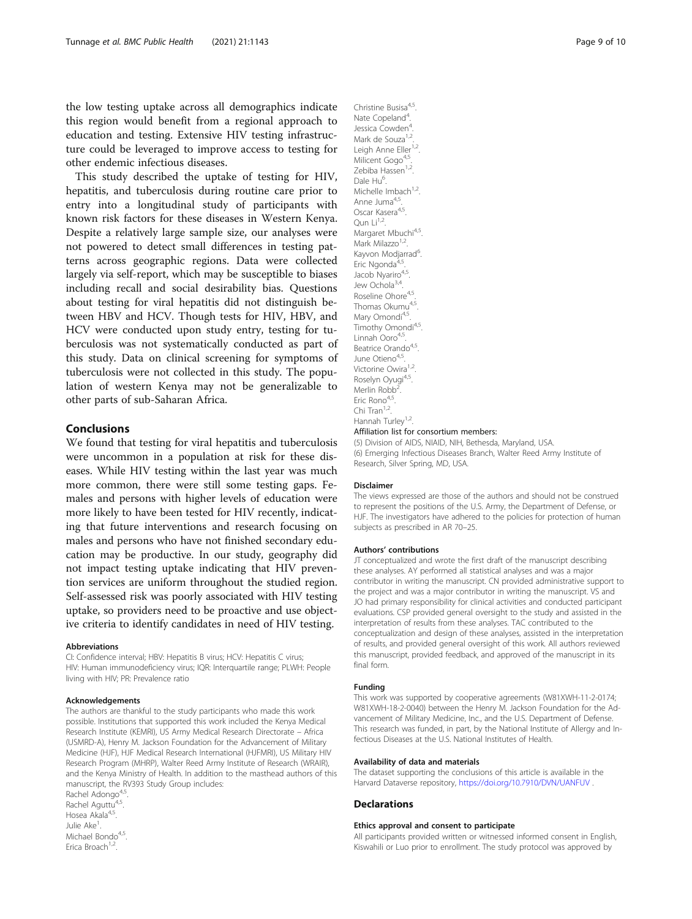the low testing uptake across all demographics indicate this region would benefit from a regional approach to education and testing. Extensive HIV testing infrastructure could be leveraged to improve access to testing for other endemic infectious diseases.

This study described the uptake of testing for HIV, hepatitis, and tuberculosis during routine care prior to entry into a longitudinal study of participants with known risk factors for these diseases in Western Kenya. Despite a relatively large sample size, our analyses were not powered to detect small differences in testing patterns across geographic regions. Data were collected largely via self-report, which may be susceptible to biases including recall and social desirability bias. Questions about testing for viral hepatitis did not distinguish between HBV and HCV. Though tests for HIV, HBV, and HCV were conducted upon study entry, testing for tuberculosis was not systematically conducted as part of this study. Data on clinical screening for symptoms of tuberculosis were not collected in this study. The population of western Kenya may not be generalizable to other parts of sub-Saharan Africa.

# Conclusions

We found that testing for viral hepatitis and tuberculosis were uncommon in a population at risk for these diseases. While HIV testing within the last year was much more common, there were still some testing gaps. Females and persons with higher levels of education were more likely to have been tested for HIV recently, indicating that future interventions and research focusing on males and persons who have not finished secondary education may be productive. In our study, geography did not impact testing uptake indicating that HIV prevention services are uniform throughout the studied region. Self-assessed risk was poorly associated with HIV testing uptake, so providers need to be proactive and use objective criteria to identify candidates in need of HIV testing.

#### Abbreviations

CI: Confidence interval; HBV: Hepatitis B virus; HCV: Hepatitis C virus; HIV: Human immunodeficiency virus; IQR: Interquartile range; PLWH: People living with HIV; PR: Prevalence ratio

#### Acknowledgements

The authors are thankful to the study participants who made this work possible. Institutions that supported this work included the Kenya Medical Research Institute (KEMRI), US Army Medical Research Directorate – Africa (USMRD-A), Henry M. Jackson Foundation for the Advancement of Military Medicine (HJF), HJF Medical Research International (HJFMRI), US Military HIV Research Program (MHRP), Walter Reed Army Institute of Research (WRAIR), and the Kenya Ministry of Health. In addition to the masthead authors of this manuscript, the RV393 Study Group includes:

Rachel Adongo<sup>4,5</sup> Rachel Aguttu<sup>4,5</sup> Hosea Akala<sup>4,5</sup> Julie Ake<sup>1</sup> . Michael Bondo<sup>4,5</sup>. Erica Broach<sup>1,2</sup>

Christine Busisa<sup>4,5</sup>. Nate Copeland<sup>4</sup> . Jessica Cowden<sup>4</sup> . Mark de Souza<sup>1,2</sup>. Leigh Anne Eller<sup>1,2</sup>. Milicent Gogo<sup>4,5</sup> Zebiba Hassen<sup>1,2</sup>. Dale Hu<sup>6</sup> Michelle Imbach<sup>1,2</sup>. Anne Juma<sup>4,5</sup> Oscar Kasera<sup>4,5</sup>. Oun  $Li^{1,2}$ . Margaret Mbuchi<sup>4,5</sup>. Mark Milazzo<sup>1,2</sup> Kayvon Modjarrad<sup>6</sup>. . Fric Ngonda<sup>4,</sup> Jacob Nyariro<sup>4,5</sup>. Jew Ochola<sup>3,4</sup>. Roseline Ohore<sup>4,5</sup> Thomas Okumu<sup>4,5</sup>. Mary Omondi<sup>4,5</sup>. Timothy Omondi<sup>4,5</sup>. Linnah Ooro4,5 Beatrice Orando<sup>4,5</sup>. June Otieno<sup>4,5</sup> Victorine Owira<sup>1,2</sup> Roselyn Oyugi<sup>4,5</sup> Merlin Robb<sup>2</sup> . Eric Rono<sup>4,5</sup> Chi Tran<sup>1,2</sup> Hannah Turley<sup>1,2</sup>.

#### Affiliation list for consortium members:

(5) Division of AIDS, NIAID, NIH, Bethesda, Maryland, USA. (6) Emerging Infectious Diseases Branch, Walter Reed Army Institute of Research, Silver Spring, MD, USA.

#### Disclaimer

The views expressed are those of the authors and should not be construed to represent the positions of the U.S. Army, the Department of Defense, or HJF. The investigators have adhered to the policies for protection of human subjects as prescribed in AR 70–25.

#### Authors' contributions

JT conceptualized and wrote the first draft of the manuscript describing these analyses. AY performed all statistical analyses and was a major contributor in writing the manuscript. CN provided administrative support to the project and was a major contributor in writing the manuscript. VS and JO had primary responsibility for clinical activities and conducted participant evaluations. CSP provided general oversight to the study and assisted in the interpretation of results from these analyses. TAC contributed to the conceptualization and design of these analyses, assisted in the interpretation of results, and provided general oversight of this work. All authors reviewed this manuscript, provided feedback, and approved of the manuscript in its final form.

#### Funding

This work was supported by cooperative agreements (W81XWH-11-2-0174; W81XWH-18-2-0040) between the Henry M. Jackson Foundation for the Advancement of Military Medicine, Inc., and the U.S. Department of Defense. This research was funded, in part, by the National Institute of Allergy and Infectious Diseases at the U.S. National Institutes of Health.

#### Availability of data and materials

The dataset supporting the conclusions of this article is available in the Harvard Dataverse repository, <https://doi.org/10.7910/DVN/UANFUV> .

### Declarations

#### Ethics approval and consent to participate

All participants provided written or witnessed informed consent in English, Kiswahili or Luo prior to enrollment. The study protocol was approved by